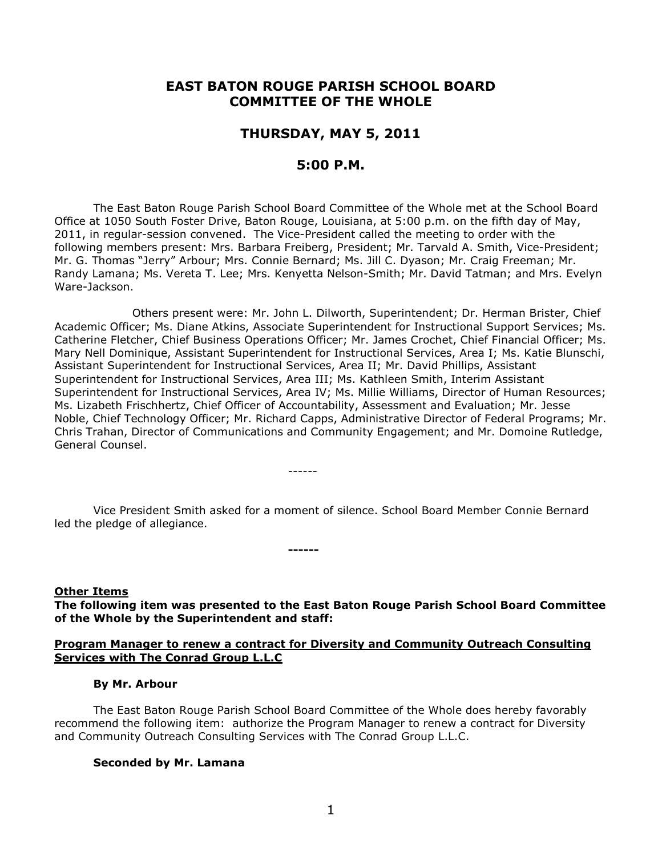# **EAST BATON ROUGE PARISH SCHOOL BOARD COMMITTEE OF THE WHOLE**

## **THURSDAY, MAY 5, 2011**

# **5:00 P.M.**

The East Baton Rouge Parish School Board Committee of the Whole met at the School Board Office at 1050 South Foster Drive, Baton Rouge, Louisiana, at 5:00 p.m. on the fifth day of May, 2011, in regular-session convened. The Vice-President called the meeting to order with the following members present: Mrs. Barbara Freiberg, President; Mr. Tarvald A. Smith, Vice-President; Mr. G. Thomas "Jerry" Arbour; Mrs. Connie Bernard; Ms. Jill C. Dyason; Mr. Craig Freeman; Mr. Randy Lamana; Ms. Vereta T. Lee; Mrs. Kenyetta Nelson-Smith; Mr. David Tatman; and Mrs. Evelyn Ware-Jackson.

Others present were: Mr. John L. Dilworth, Superintendent; Dr. Herman Brister, Chief Academic Officer; Ms. Diane Atkins, Associate Superintendent for Instructional Support Services; Ms. Catherine Fletcher, Chief Business Operations Officer; Mr. James Crochet, Chief Financial Officer; Ms. Mary Nell Dominique, Assistant Superintendent for Instructional Services, Area I; Ms. Katie Blunschi, Assistant Superintendent for Instructional Services, Area II; Mr. David Phillips, Assistant Superintendent for Instructional Services, Area III; Ms. Kathleen Smith, Interim Assistant Superintendent for Instructional Services, Area IV; Ms. Millie Williams, Director of Human Resources; Ms. Lizabeth Frischhertz, Chief Officer of Accountability, Assessment and Evaluation; Mr. Jesse Noble, Chief Technology Officer; Mr. Richard Capps, Administrative Director of Federal Programs; Mr. Chris Trahan, Director of Communications and Community Engagement; and Mr. Domoine Rutledge, General Counsel.

Vice President Smith asked for a moment of silence. School Board Member Connie Bernard led the pledge of allegiance.

------

**------**

#### **Other Items**

**The following item was presented to the East Baton Rouge Parish School Board Committee of the Whole by the Superintendent and staff:**

#### **Program Manager to renew a contract for Diversity and Community Outreach Consulting Services with The Conrad Group L.L.C**

#### **By Mr. Arbour**

The East Baton Rouge Parish School Board Committee of the Whole does hereby favorably recommend the following item: authorize the Program Manager to renew a contract for Diversity and Community Outreach Consulting Services with The Conrad Group L.L.C.

#### **Seconded by Mr. Lamana**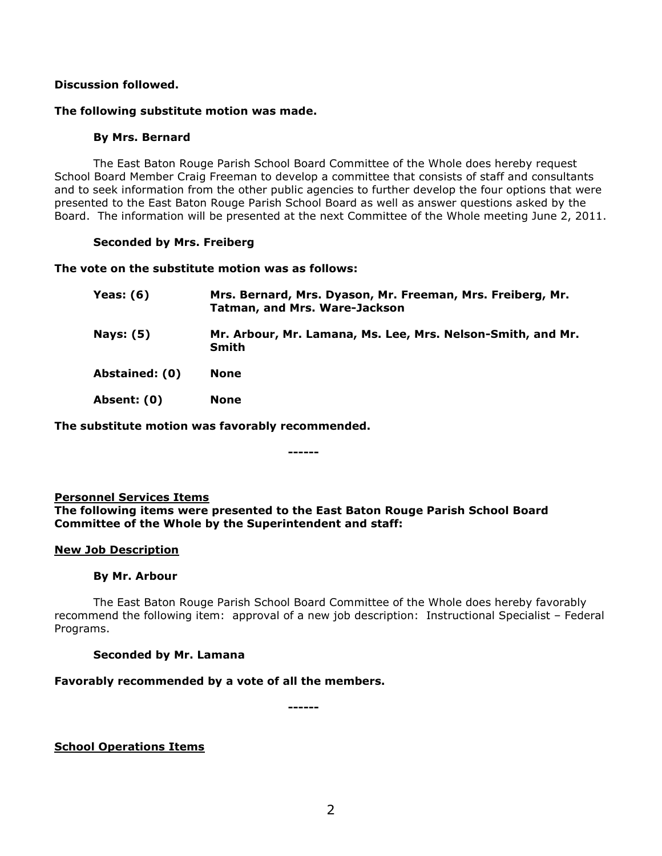# **Discussion followed.**

#### **The following substitute motion was made.**

#### **By Mrs. Bernard**

The East Baton Rouge Parish School Board Committee of the Whole does hereby request School Board Member Craig Freeman to develop a committee that consists of staff and consultants and to seek information from the other public agencies to further develop the four options that were presented to the East Baton Rouge Parish School Board as well as answer questions asked by the Board. The information will be presented at the next Committee of the Whole meeting June 2, 2011.

#### **Seconded by Mrs. Freiberg**

#### **The vote on the substitute motion was as follows:**

| Yeas: (6)        | Mrs. Bernard, Mrs. Dyason, Mr. Freeman, Mrs. Freiberg, Mr.<br><b>Tatman, and Mrs. Ware-Jackson</b> |
|------------------|----------------------------------------------------------------------------------------------------|
| <b>Nays: (5)</b> | Mr. Arbour, Mr. Lamana, Ms. Lee, Mrs. Nelson-Smith, and Mr.<br>Smith                               |
| Abstained: (0)   | <b>None</b>                                                                                        |
| Absent: (0)      | <b>None</b>                                                                                        |

**The substitute motion was favorably recommended.**

**------**

### **Personnel Services Items**

**The following items were presented to the East Baton Rouge Parish School Board Committee of the Whole by the Superintendent and staff:**

### **New Job Description**

#### **By Mr. Arbour**

The East Baton Rouge Parish School Board Committee of the Whole does hereby favorably recommend the following item: approval of a new job description: Instructional Specialist – Federal Programs.

### **Seconded by Mr. Lamana**

### **Favorably recommended by a vote of all the members.**

**------**

**School Operations Items**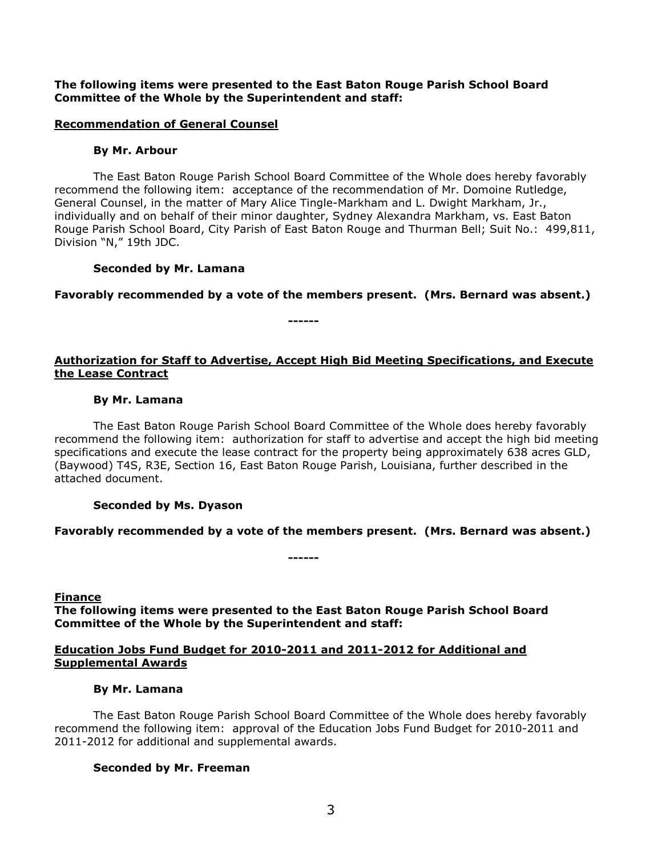### **The following items were presented to the East Baton Rouge Parish School Board Committee of the Whole by the Superintendent and staff:**

#### **Recommendation of General Counsel**

#### **By Mr. Arbour**

The East Baton Rouge Parish School Board Committee of the Whole does hereby favorably recommend the following item: acceptance of the recommendation of Mr. Domoine Rutledge, General Counsel, in the matter of Mary Alice Tingle-Markham and L. Dwight Markham, Jr., individually and on behalf of their minor daughter, Sydney Alexandra Markham, vs. East Baton Rouge Parish School Board, City Parish of East Baton Rouge and Thurman Bell; Suit No.: 499,811, Division "N," 19th JDC.

#### **Seconded by Mr. Lamana**

**Favorably recommended by a vote of the members present. (Mrs. Bernard was absent.)**

**------**

## **Authorization for Staff to Advertise, Accept High Bid Meeting Specifications, and Execute the Lease Contract**

#### **By Mr. Lamana**

The East Baton Rouge Parish School Board Committee of the Whole does hereby favorably recommend the following item: authorization for staff to advertise and accept the high bid meeting specifications and execute the lease contract for the property being approximately 638 acres GLD, (Baywood) T4S, R3E, Section 16, East Baton Rouge Parish, Louisiana, further described in the attached document.

### **Seconded by Ms. Dyason**

### **Favorably recommended by a vote of the members present. (Mrs. Bernard was absent.)**

**Finance**

**The following items were presented to the East Baton Rouge Parish School Board Committee of the Whole by the Superintendent and staff:**

**------**

### **Education Jobs Fund Budget for 2010-2011 and 2011-2012 for Additional and Supplemental Awards**

#### **By Mr. Lamana**

The East Baton Rouge Parish School Board Committee of the Whole does hereby favorably recommend the following item: approval of the Education Jobs Fund Budget for 2010-2011 and 2011-2012 for additional and supplemental awards.

### **Seconded by Mr. Freeman**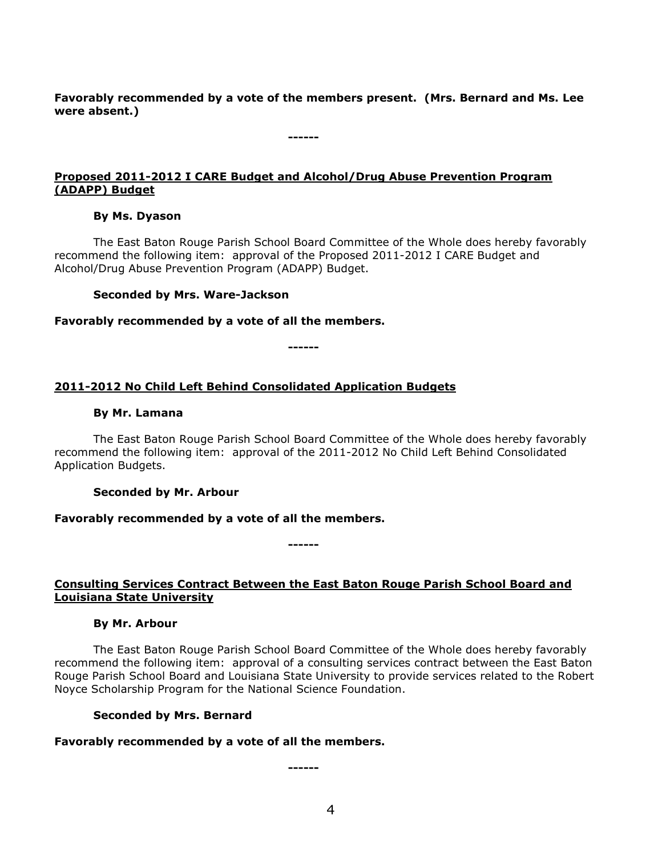**Favorably recommended by a vote of the members present. (Mrs. Bernard and Ms. Lee were absent.)**

## **Proposed 2011-2012 I CARE Budget and Alcohol/Drug Abuse Prevention Program (ADAPP) Budget**

**------**

#### **By Ms. Dyason**

The East Baton Rouge Parish School Board Committee of the Whole does hereby favorably recommend the following item: approval of the Proposed 2011-2012 I CARE Budget and Alcohol/Drug Abuse Prevention Program (ADAPP) Budget.

#### **Seconded by Mrs. Ware-Jackson**

#### **Favorably recommended by a vote of all the members.**

**------**

## **2011-2012 No Child Left Behind Consolidated Application Budgets**

#### **By Mr. Lamana**

The East Baton Rouge Parish School Board Committee of the Whole does hereby favorably recommend the following item: approval of the 2011-2012 No Child Left Behind Consolidated Application Budgets.

#### **Seconded by Mr. Arbour**

### **Favorably recommended by a vote of all the members.**

**------**

### **Consulting Services Contract Between the East Baton Rouge Parish School Board and Louisiana State University**

### **By Mr. Arbour**

The East Baton Rouge Parish School Board Committee of the Whole does hereby favorably recommend the following item: approval of a consulting services contract between the East Baton Rouge Parish School Board and Louisiana State University to provide services related to the Robert Noyce Scholarship Program for the National Science Foundation.

#### **Seconded by Mrs. Bernard**

### **Favorably recommended by a vote of all the members.**

**------**